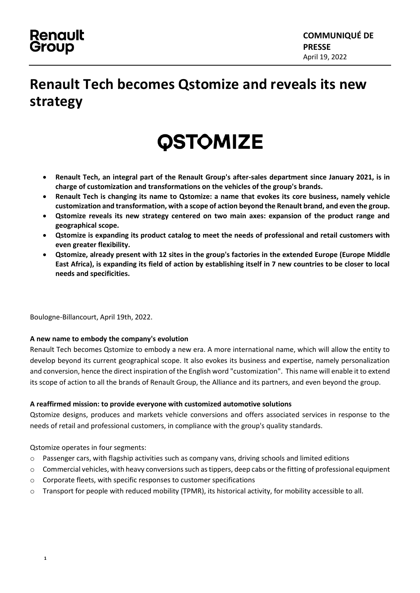### **Renault** Group

## **Renault Tech becomes Qstomize and reveals its new strategy**

## **QSTOMIZE**

- **Renault Tech, an integral part of the Renault Group's after-sales department since January 2021, is in charge of customization and transformations on the vehicles of the group's brands.**
- **Renault Tech is changing its name to Qstomize: a name that evokes its core business, namely vehicle customization and transformation, with a scope of action beyond the Renault brand, and even the group.**
- **Qstomize reveals its new strategy centered on two main axes: expansion of the product range and geographical scope.**
- **Qstomize is expanding its product catalog to meet the needs of professional and retail customers with even greater flexibility.**
- **Qstomize, already present with 12 sites in the group's factories in the extended Europe (Europe Middle East Africa), is expanding its field of action by establishing itself in 7 new countries to be closer to local needs and specificities.**

Boulogne-Billancourt, April 19th, 2022.

#### **A new name to embody the company's evolution**

Renault Tech becomes Qstomize to embody a new era. A more international name, which will allow the entity to develop beyond its current geographical scope. It also evokes its business and expertise, namely personalization and conversion, hence the direct inspiration of the English word "customization". This name will enable it to extend its scope of action to all the brands of Renault Group, the Alliance and its partners, and even beyond the group.

#### **A reaffirmed mission: to provide everyone with customized automotive solutions**

Qstomize designs, produces and markets vehicle conversions and offers associated services in response to the needs of retail and professional customers, in compliance with the group's quality standards.

Qstomize operates in four segments:

- o Passenger cars, with flagship activities such as company vans, driving schools and limited editions
- $\circ$  Commercial vehicles, with heavy conversions such as tippers, deep cabs or the fitting of professional equipment
- o Corporate fleets, with specific responses to customer specifications
- o Transport for people with reduced mobility (TPMR), its historical activity, for mobility accessible to all.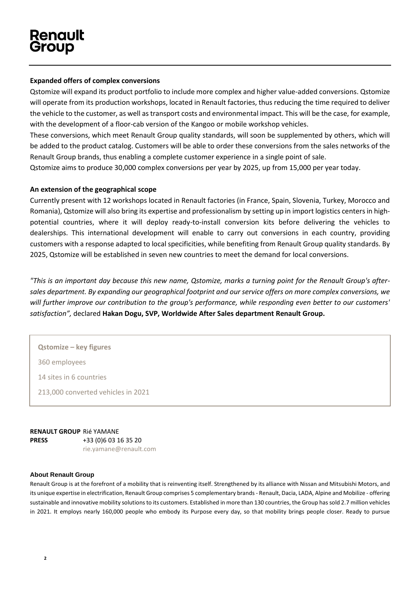#### **Expanded offers of complex conversions**

Qstomize will expand its product portfolio to include more complex and higher value-added conversions. Qstomize will operate from its production workshops, located in Renault factories, thus reducing the time required to deliver the vehicle to the customer, as well as transport costs and environmental impact. This will be the case, for example, with the development of a floor-cab version of the Kangoo or mobile workshop vehicles.

These conversions, which meet Renault Group quality standards, will soon be supplemented by others, which will be added to the product catalog. Customers will be able to order these conversions from the sales networks of the Renault Group brands, thus enabling a complete customer experience in a single point of sale.

Qstomize aims to produce 30,000 complex conversions per year by 2025, up from 15,000 per year today.

#### **An extension of the geographical scope**

Currently present with 12 workshops located in Renault factories (in France, Spain, Slovenia, Turkey, Morocco and Romania), Qstomize will also bring its expertise and professionalism by setting up in import logistics centers in highpotential countries, where it will deploy ready-to-install conversion kits before delivering the vehicles to dealerships. This international development will enable to carry out conversions in each country, providing customers with a response adapted to local specificities, while benefiting from Renault Group quality standards. By 2025, Qstomize will be established in seven new countries to meet the demand for local conversions.

*"This is an important day because this new name, Qstomize, marks a turning point for the Renault Group's aftersales department. By expanding our geographical footprint and our service offers on more complex conversions, we will further improve our contribution to the group's performance, while responding even better to our customers' satisfaction",* declared **Hakan Dogu, SVP, Worldwide After Sales department Renault Group.** 

**Qstomize – key figures**

360 employees

14 sites in 6 countries

213,000 converted vehicles in 2021

**RENAULT GROUP**  Rié YAMANE **PRESS** +33 (0)6 03 16 35 20 [rie.yamane@renault.com](mailto:rie.yamane@renault.com)

#### **About Renault Group**

Renault Group is at the forefront of a mobility that is reinventing itself. Strengthened by its alliance with Nissan and Mitsubishi Motors, and its unique expertise in electrification, Renault Group comprises 5 complementary brands - Renault, Dacia, LADA, Alpine and Mobilize - offering sustainable and innovative mobility solutions to its customers. Established in more than 130 countries, the Group has sold 2.7 million vehicles in 2021. It employs nearly 160,000 people who embody its Purpose every day, so that mobility brings people closer. Ready to pursue